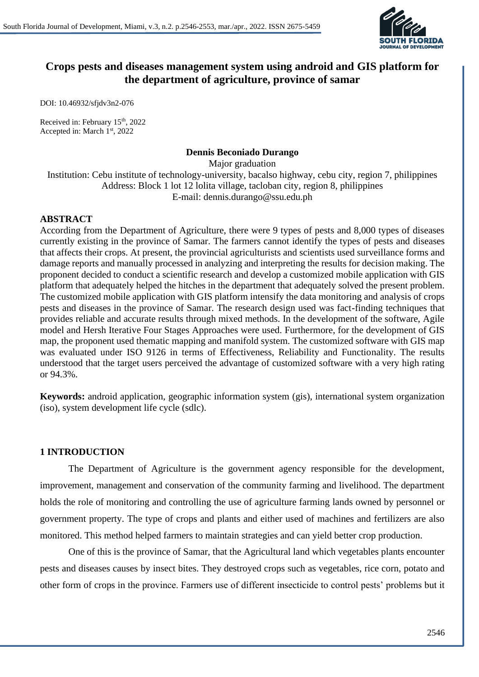

# **Crops pests and diseases management system using android and GIS platform for the department of agriculture, province of samar**

DOI: 10.46932/sfjdv3n2-076

Received in: February 15<sup>th</sup>, 2022 Accepted in: March 1st, 2022

## **Dennis Beconiado Durango**

Major graduation Institution: Cebu institute of technology-university, bacalso highway, cebu city, region 7, philippines Address: Block 1 lot 12 lolita village, tacloban city, region 8, philippines E-mail: dennis.durango@ssu.edu.ph

## **ABSTRACT**

According from the Department of Agriculture, there were 9 types of pests and 8,000 types of diseases currently existing in the province of Samar. The farmers cannot identify the types of pests and diseases that affects their crops. At present, the provincial agriculturists and scientists used surveillance forms and damage reports and manually processed in analyzing and interpreting the results for decision making. The proponent decided to conduct a scientific research and develop a customized mobile application with GIS platform that adequately helped the hitches in the department that adequately solved the present problem. The customized mobile application with GIS platform intensify the data monitoring and analysis of crops pests and diseases in the province of Samar. The research design used was fact-finding techniques that provides reliable and accurate results through mixed methods. In the development of the software, Agile model and Hersh Iterative Four Stages Approaches were used. Furthermore, for the development of GIS map, the proponent used thematic mapping and manifold system. The customized software with GIS map was evaluated under ISO 9126 in terms of Effectiveness, Reliability and Functionality. The results understood that the target users perceived the advantage of customized software with a very high rating or 94.3%.

**Keywords:** android application, geographic information system (gis), international system organization (iso), system development life cycle (sdlc).

## **1 INTRODUCTION**

The Department of Agriculture is the government agency responsible for the development, improvement, management and conservation of the community farming and livelihood. The department holds the role of monitoring and controlling the use of agriculture farming lands owned by personnel or government property. The type of crops and plants and either used of machines and fertilizers are also monitored. This method helped farmers to maintain strategies and can yield better crop production.

One of this is the province of Samar, that the Agricultural land which vegetables plants encounter pests and diseases causes by insect bites. They destroyed crops such as vegetables, rice corn, potato and other form of crops in the province. Farmers use of different insecticide to control pests' problems but it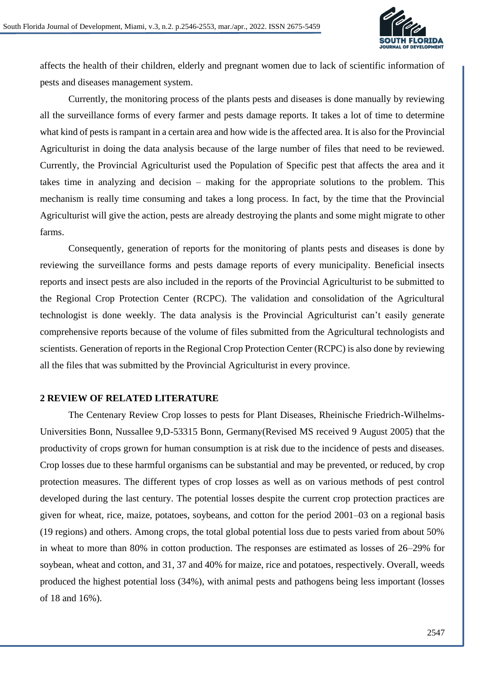

affects the health of their children, elderly and pregnant women due to lack of scientific information of pests and diseases management system.

Currently, the monitoring process of the plants pests and diseases is done manually by reviewing all the surveillance forms of every farmer and pests damage reports. It takes a lot of time to determine what kind of pests is rampant in a certain area and how wide is the affected area. It is also for the Provincial Agriculturist in doing the data analysis because of the large number of files that need to be reviewed. Currently, the Provincial Agriculturist used the Population of Specific pest that affects the area and it takes time in analyzing and decision – making for the appropriate solutions to the problem. This mechanism is really time consuming and takes a long process. In fact, by the time that the Provincial Agriculturist will give the action, pests are already destroying the plants and some might migrate to other farms.

Consequently, generation of reports for the monitoring of plants pests and diseases is done by reviewing the surveillance forms and pests damage reports of every municipality. Beneficial insects reports and insect pests are also included in the reports of the Provincial Agriculturist to be submitted to the Regional Crop Protection Center (RCPC). The validation and consolidation of the Agricultural technologist is done weekly. The data analysis is the Provincial Agriculturist can't easily generate comprehensive reports because of the volume of files submitted from the Agricultural technologists and scientists. Generation of reports in the Regional Crop Protection Center (RCPC) is also done by reviewing all the files that was submitted by the Provincial Agriculturist in every province.

## **2 REVIEW OF RELATED LITERATURE**

The Centenary Review Crop losses to pests for Plant Diseases, Rheinische Friedrich-Wilhelms-Universities Bonn, Nussallee 9,D-53315 Bonn, Germany(Revised MS received 9 August 2005) that the productivity of crops grown for human consumption is at risk due to the incidence of pests and diseases. Crop losses due to these harmful organisms can be substantial and may be prevented, or reduced, by crop protection measures. The different types of crop losses as well as on various methods of pest control developed during the last century. The potential losses despite the current crop protection practices are given for wheat, rice, maize, potatoes, soybeans, and cotton for the period 2001–03 on a regional basis (19 regions) and others. Among crops, the total global potential loss due to pests varied from about 50% in wheat to more than 80% in cotton production. The responses are estimated as losses of 26–29% for soybean, wheat and cotton, and 31, 37 and 40% for maize, rice and potatoes, respectively. Overall, weeds produced the highest potential loss (34%), with animal pests and pathogens being less important (losses of 18 and 16%).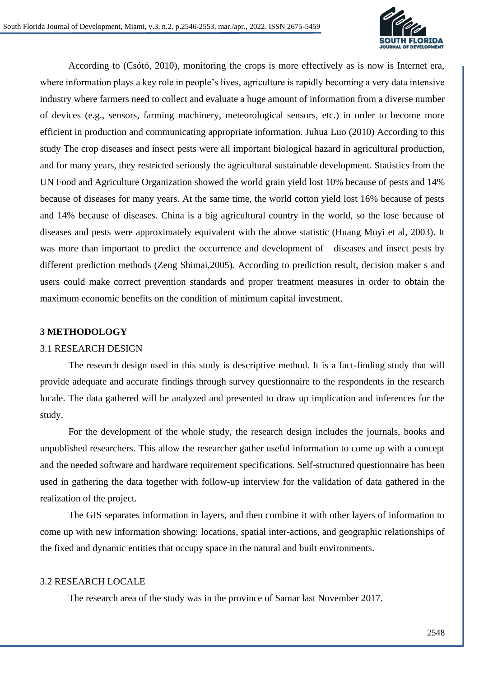

According to (Csótó, 2010), monitoring the crops is more effectively as is now is Internet era, where information plays a key role in people's lives, agriculture is rapidly becoming a very data intensive industry where farmers need to collect and evaluate a huge amount of information from a diverse number of devices (e.g., sensors, farming machinery, meteorological sensors, etc.) in order to become more efficient in production and communicating appropriate information. Juhua Luo (2010) According to this study The crop diseases and insect pests were all important biological hazard in agricultural production, and for many years, they restricted seriously the agricultural sustainable development. Statistics from the UN Food and Agriculture Organization showed the world grain yield lost 10% because of pests and 14% because of diseases for many years. At the same time, the world cotton yield lost 16% because of pests and 14% because of diseases. China is a big agricultural country in the world, so the lose because of diseases and pests were approximately equivalent with the above statistic (Huang Muyi et al, 2003). It was more than important to predict the occurrence and development of diseases and insect pests by different prediction methods (Zeng Shimai,2005). According to prediction result, decision maker s and users could make correct prevention standards and proper treatment measures in order to obtain the maximum economic benefits on the condition of minimum capital investment.

## **3 METHODOLOGY**

#### 3.1 RESEARCH DESIGN

The research design used in this study is descriptive method. It is a fact-finding study that will provide adequate and accurate findings through survey questionnaire to the respondents in the research locale. The data gathered will be analyzed and presented to draw up implication and inferences for the study.

For the development of the whole study, the research design includes the journals, books and unpublished researchers. This allow the researcher gather useful information to come up with a concept and the needed software and hardware requirement specifications. Self-structured questionnaire has been used in gathering the data together with follow-up interview for the validation of data gathered in the realization of the project.

The GIS separates information in layers, and then combine it with other layers of information to come up with new information showing: locations, spatial inter-actions, and geographic relationships of the fixed and dynamic entities that occupy space in the natural and built environments.

#### 3.2 RESEARCH LOCALE

The research area of the study was in the province of Samar last November 2017.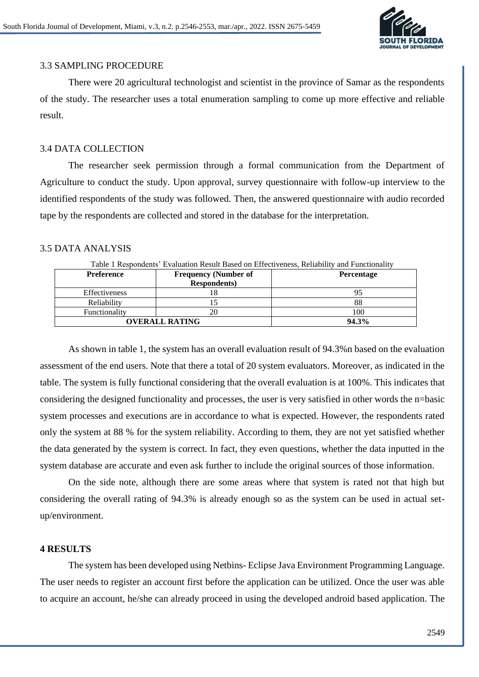

## 3.3 SAMPLING PROCEDURE

There were 20 agricultural technologist and scientist in the province of Samar as the respondents of the study. The researcher uses a total enumeration sampling to come up more effective and reliable result.

## 3.4 DATA COLLECTION

The researcher seek permission through a formal communication from the Department of Agriculture to conduct the study. Upon approval, survey questionnaire with follow-up interview to the identified respondents of the study was followed. Then, the answered questionnaire with audio recorded tape by the respondents are collected and stored in the database for the interpretation.

## 3.5 DATA ANALYSIS

| Table 1 Respondents' Evaluation Result Based on Effectiveness, Reliability and Functionality |                             |                   |  |  |
|----------------------------------------------------------------------------------------------|-----------------------------|-------------------|--|--|
| <b>Preference</b>                                                                            | <b>Frequency (Number of</b> | <b>Percentage</b> |  |  |
|                                                                                              | <b>Respondents</b> )        |                   |  |  |
| <b>Effectiveness</b>                                                                         |                             |                   |  |  |
| Reliability                                                                                  |                             | 88                |  |  |
| Functionality                                                                                | 20                          | 100               |  |  |
| <b>OVERALL RATING</b>                                                                        |                             | 94.3%             |  |  |

As shown in table 1, the system has an overall evaluation result of 94.3%n based on the evaluation assessment of the end users. Note that there a total of 20 system evaluators. Moreover, as indicated in the table. The system is fully functional considering that the overall evaluation is at 100%. This indicates that considering the designed functionality and processes, the user is very satisfied in other words the n=basic system processes and executions are in accordance to what is expected. However, the respondents rated

only the system at 88 % for the system reliability. According to them, they are not yet satisfied whether the data generated by the system is correct. In fact, they even questions, whether the data inputted in the system database are accurate and even ask further to include the original sources of those information.

On the side note, although there are some areas where that system is rated not that high but considering the overall rating of 94.3% is already enough so as the system can be used in actual setup/environment.

## **4 RESULTS**

The system has been developed using Netbins- Eclipse Java Environment Programming Language. The user needs to register an account first before the application can be utilized. Once the user was able to acquire an account, he/she can already proceed in using the developed android based application. The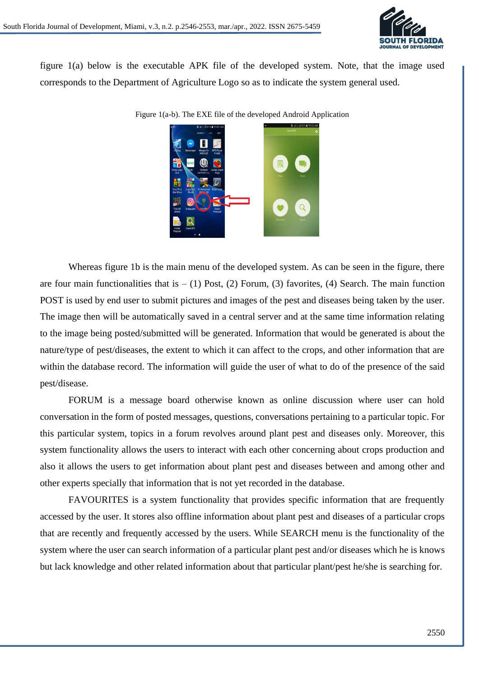

figure 1(a) below is the executable APK file of the developed system. Note, that the image used corresponds to the Department of Agriculture Logo so as to indicate the system general used.

Figure 1(a-b). The EXE file of the developed Android Application

Whereas figure 1b is the main menu of the developed system. As can be seen in the figure, there are four main functionalities that is  $- (1)$  Post, (2) Forum, (3) favorites, (4) Search. The main function POST is used by end user to submit pictures and images of the pest and diseases being taken by the user. The image then will be automatically saved in a central server and at the same time information relating to the image being posted/submitted will be generated. Information that would be generated is about the nature/type of pest/diseases, the extent to which it can affect to the crops, and other information that are within the database record. The information will guide the user of what to do of the presence of the said pest/disease.

FORUM is a message board otherwise known as online discussion where user can hold conversation in the form of posted messages, questions, conversations pertaining to a particular topic. For this particular system, topics in a forum revolves around plant pest and diseases only. Moreover, this system functionality allows the users to interact with each other concerning about crops production and also it allows the users to get information about plant pest and diseases between and among other and other experts specially that information that is not yet recorded in the database.

FAVOURITES is a system functionality that provides specific information that are frequently accessed by the user. It stores also offline information about plant pest and diseases of a particular crops that are recently and frequently accessed by the users. While SEARCH menu is the functionality of the system where the user can search information of a particular plant pest and/or diseases which he is knows but lack knowledge and other related information about that particular plant/pest he/she is searching for.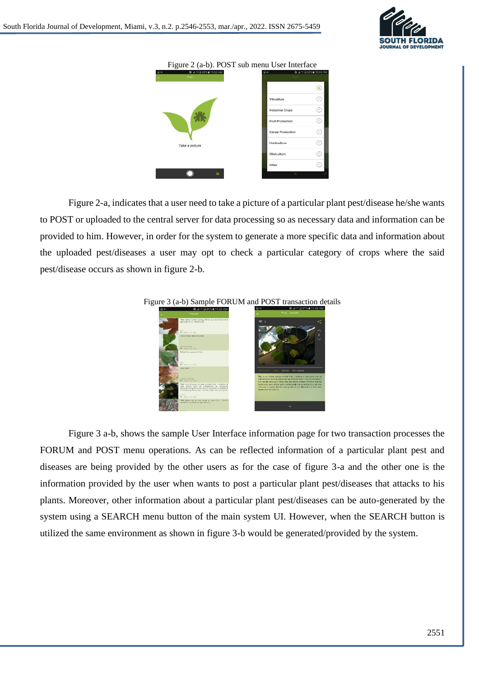



Figure 2-a, indicates that a user need to take a picture of a particular plant pest/disease he/she wants to POST or uploaded to the central server for data processing so as necessary data and information can be provided to him. However, in order for the system to generate a more specific data and information about the uploaded pest/diseases a user may opt to check a particular category of crops where the said pest/disease occurs as shown in figure 2-b.



#### Figure 3 (a-b) Sample FORUM and POST transaction details

Figure 3 a-b, shows the sample User Interface information page for two transaction processes the FORUM and POST menu operations. As can be reflected information of a particular plant pest and diseases are being provided by the other users as for the case of figure 3-a and the other one is the information provided by the user when wants to post a particular plant pest/diseases that attacks to his plants. Moreover, other information about a particular plant pest/diseases can be auto-generated by the system using a SEARCH menu button of the main system UI. However, when the SEARCH button is utilized the same environment as shown in figure 3-b would be generated/provided by the system.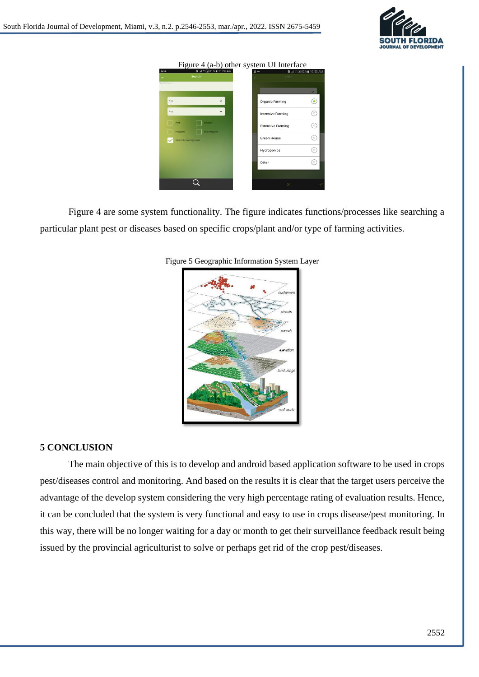

#### Figure 4 (a-b) other system UI Interface

| $\Box$ a-    | <b>B</b> .af # 国 81% ■ 11:06 AM | @ ⊶                      | <b>B</b> at # 282% <b>a</b> 10:53 AM |
|--------------|---------------------------------|--------------------------|--------------------------------------|
|              | Search                          | ç.                       | Post                                 |
| Search text. |                                 |                          |                                      |
|              |                                 |                          | $\checkmark$                         |
| Any          | $\check{~}$                     | Organic Farming          | ◉                                    |
| Any          | $\checkmark$                    | <b>Intensive Farming</b> | ∩                                    |
| Pest         | Disease<br>Not impated          | <b>Extensive Farming</b> | 0)                                   |
| Irrigated    | Search knowledge base           | Green House              | ⊙                                    |
|              |                                 | Hydroponics              | 0                                    |
|              |                                 | Other                    | 6                                    |
|              |                                 |                          |                                      |
|              |                                 |                          | $\times$                             |

Figure 4 are some system functionality. The figure indicates functions/processes like searching a particular plant pest or diseases based on specific crops/plant and/or type of farming activities.



#### Figure 5 Geographic Information System Layer

## **5 CONCLUSION**

The main objective of this is to develop and android based application software to be used in crops pest/diseases control and monitoring. And based on the results it is clear that the target users perceive the advantage of the develop system considering the very high percentage rating of evaluation results. Hence, it can be concluded that the system is very functional and easy to use in crops disease/pest monitoring. In this way, there will be no longer waiting for a day or month to get their surveillance feedback result being issued by the provincial agriculturist to solve or perhaps get rid of the crop pest/diseases.